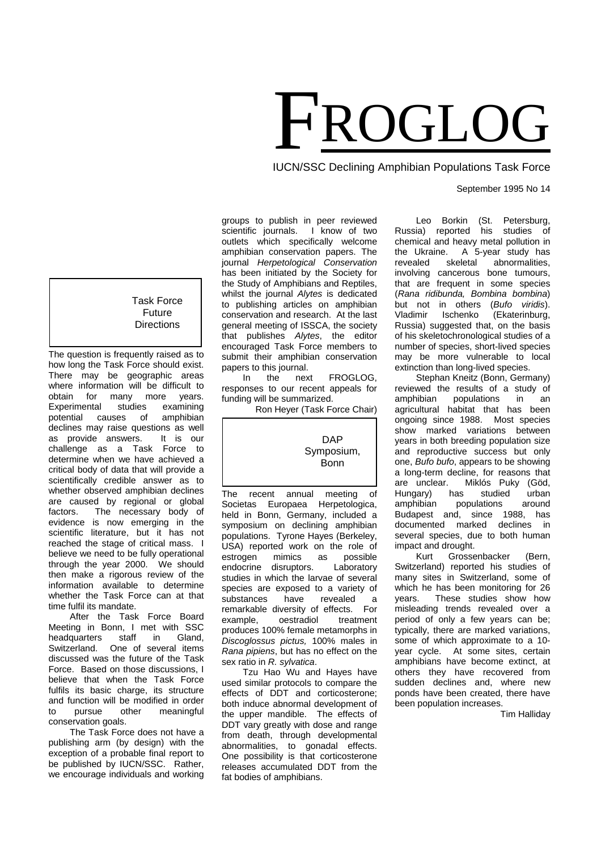# FROGLOG

IUCN/SSC Declining Amphibian Populations Task Force

# September 1995 No 14

groups to publish in peer reviewed<br>scientific iournals. I know of two scientific journals. outlets which specifically welcome amphibian conservation papers. The journal *Herpetological Conservation* has been initiated by the Society for the Study of Amphibians and Reptiles, whilst the journal *Alytes* is dedicated to publishing articles on amphibian conservation and research. At the last general meeting of ISSCA, the society that publishes *Alytes*, the editor encouraged Task Force members to submit their amphibian conservation papers to this journal.<br>In the next

FROGLOG, responses to our recent appeals for funding will be summarized.

Ron Heyer (Task Force Chair)

# DAP Symposium, Bonn

The recent annual meeting of Societas Europaea Herpetologica, held in Bonn, Germany, included a symposium on declining amphibian populations. Tyrone Hayes (Berkeley, USA) reported work on the role of estrogen mimics as possible<br>endocrine disruptors. Laboratory endocrine disruptors. studies in which the larvae of several species are exposed to a variety of substances have revealed a<br>remarkable\_diversity\_of\_effects.\_For remarkable diversity of effects. example, oestradiol treatment produces 100% female metamorphs in *Discoglossus pictus,* 100% males in *Rana pipiens*, but has no effect on the sex ratio in *R. sylvatica*.

Tzu Hao Wu and Hayes have used similar protocols to compare the effects of DDT and corticosterone; both induce abnormal development of the upper mandible. The effects of DDT vary greatly with dose and range from death, through developmental abnormalities, to gonadal effects. One possibility is that corticosterone releases accumulated DDT from the fat bodies of amphibians.

Leo Borkin (St. Petersburg, Russia) reported his studies of chemical and heavy metal pollution in<br>the Ukraine. A 5-year study has the Ukraine. A 5-year study has<br>revealed skeletal abnormalities. abnormalities, involving cancerous bone tumours, that are frequent in some species (*Rana ridibunda, Bombina bombina*) but not in others (*Bufo viridis*). (Ekaterinburg, Russia) suggested that, on the basis of his skeletochronological studies of a number of species, short-lived species may be more vulnerable to local extinction than long-lived species.

Stephan Kneitz (Bonn, Germany) reviewed the results of a study of<br>amphibian populations in an populations in an agricultural habitat that has been ongoing since 1988. Most species show marked variations between years in both breeding population size and reproductive success but only one, *Bufo bufo*, appears to be showing a long-term decline, for reasons that Miklós Puky (Göd,<br>studied urban Hungary) has studied urban amphibian populations around Budapest and, since 1988, has documented marked declines in several species, due to both human

impact and drought.<br>Kurt Grosse Grossenbacker (Bern, Switzerland) reported his studies of many sites in Switzerland, some of which he has been monitoring for 26 years. These studies show how misleading trends revealed over a period of only a few years can be; typically, there are marked variations, some of which approximate to a 10 year cycle. At some sites, certain amphibians have become extinct, at others they have recovered from sudden declines and, where new ponds have been created, there have been population increases.

Tim Halliday

# Task Force Future **Directions**

The question is frequently raised as to how long the Task Force should exist. There may be geographic areas where information will be difficult to<br>obtain for many more years. many more years. Experimental studies examining<br>potential causes of amphibian causes of declines may raise questions as well as provide answers. It is our challenge as a Task Force to determine when we have achieved a critical body of data that will provide a scientifically credible answer as to whether observed amphibian declines are caused by regional or global factors. The necessary body of evidence is now emerging in the scientific literature, but it has not reached the stage of critical mass. I believe we need to be fully operational through the year 2000. We should then make a rigorous review of the information available to determine whether the Task Force can at that time fulfil its mandate.

After the Task Force Board Meeting in Bonn, I met with SSC<br>headquarters staff in Gland, headquarters Switzerland. One of several items discussed was the future of the Task Force. Based on those discussions, I believe that when the Task Force fulfils its basic charge, its structure and function will be modified in order to pursue other meaningful conservation goals.

The Task Force does not have a publishing arm (by design) with the exception of a probable final report to be published by IUCN/SSC. Rather, we encourage individuals and working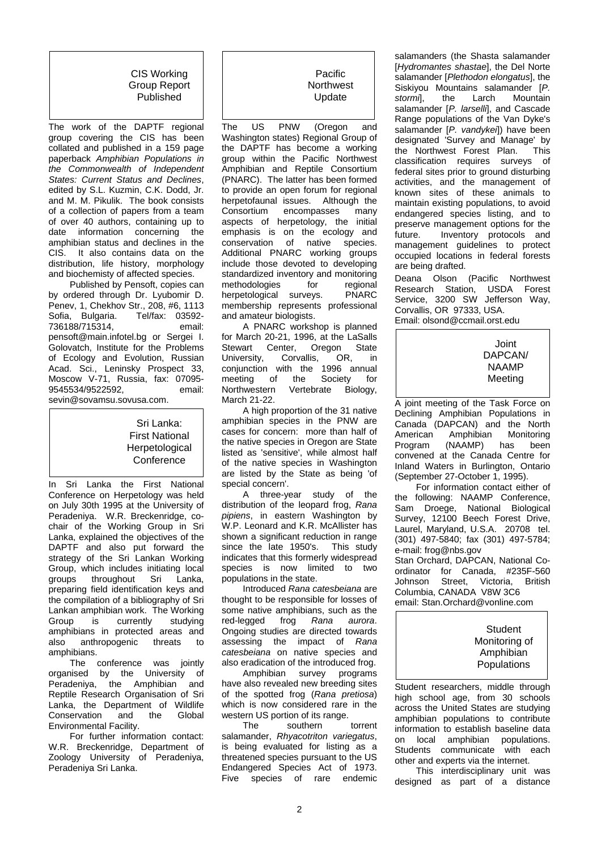CIS Working Group Report Published

The work of the DAPTF regional group covering the CIS has been collated and published in a 159 page paperback *Amphibian Populations in the Commonwealth of Independent States: Current Status and Declines*, edited by S.L. Kuzmin, C.K. Dodd, Jr. and M. M. Pikulik. The book consists of a collection of papers from a team of over 40 authors, containing up to date information concerning the amphibian status and declines in the CIS. It also contains data on the distribution, life history, morphology and biochemisty of affected species.

Published by Pensoft, copies can by ordered through Dr. Lyubomir D. Penev, 1, Chekhov Str., 208, #6, 1113<br>Sofia. Bulgaria. Tel/fax: 03592-Sofia, Bulgaria. Tel/fax: 03592- 736188/715314. pensoft@main.infotel.bg or Sergei I. Golovatch, Institute for the Problems of Ecology and Evolution, Russian Acad. Sci., Leninsky Prospect 33, Moscow V-71, Russia, fax: 07095- 9545534/9522592. sevin@sovamsu.sovusa.com.

> Sri Lanka: First National **Herpetological Conference**

In Sri Lanka the First National Conference on Herpetology was held on July 30th 1995 at the University of Peradeniya. W.R. Breckenridge, cochair of the Working Group in Sri Lanka, explained the objectives of the DAPTF and also put forward the strategy of the Sri Lankan Working Group, which includes initiating local<br>groups throughout Sri Lanka, throughout preparing field identification keys and the compilation of a bibliography of Sri Lankan amphibian work. The Working Group is currently studying amphibians in protected areas and<br>also anthropogenic threats to anthropogenic threats to amphibians.

The conference was jointly organised by the University of Peradeniya, the Amphibian and Reptile Research Organisation of Sri Lanka, the Department of Wildlife<br>Conservation and the Global Conservation Environmental Facility.

For further information contact: W.R. Breckenridge, Department of Zoology University of Peradeniya, Peradeniya Sri Lanka.

# Pacific **Northwest** Update

The US PNW (Oregon and Washington states) Regional Group of the DAPTF has become a working group within the Pacific Northwest Amphibian and Reptile Consortium (PNARC). The latter has been formed to provide an open forum for regional herpetofaunal issues. Although the<br>Consortium encompasses many encompasses aspects of herpetology, the initial emphasis is on the ecology and conservation of native species. Additional PNARC working groups include those devoted to developing standardized inventory and monitoring<br>methodologies for regional methodologies for regional<br>herpetological surveys. PNARC herpetological surveys. membership represents professional and amateur biologists.

A PNARC workshop is planned for March 20-21, 1996, at the LaSalls<br>Stewart Center. Oregon State nter, Oregon State<br>Corvallis, OR, in University, conjunction with the 1996 annual meeting of the Society for<br>Northwestern Vertebrate Biology, Vertebrate Biology, March 21-22.

A high proportion of the 31 native amphibian species in the PNW are cases for concern: more than half of the native species in Oregon are State listed as 'sensitive', while almost half of the native species in Washington are listed by the State as being 'of special concern'.

A three-year study of the distribution of the leopard frog, *Rana pipiens*, in eastern Washington by W.P. Leonard and K.R. McAllister has shown a significant reduction in range since the late 1950's. This study indicates that this formerly widespread species is now limited to two populations in the state.

Introduced *Rana catesbeiana* are thought to be responsible for losses of some native amphibians, such as the red-legged frog *Rana aurora*. Ongoing studies are directed towards assessing the impact of *Rana catesbeiana* on native species and also eradication of the introduced frog.

Amphibian survey programs have also revealed new breeding sites of the spotted frog (*Rana pretiosa*) which is now considered rare in the western US portion of its range.<br>The southern

southern torrent salamander, *Rhyacotriton variegatus*, is being evaluated for listing as a threatened species pursuant to the US Endangered Species Act of 1973. Five species of rare endemic

salamanders (the Shasta salamander [*Hydromantes shastae*], the Del Norte salamander [*Plethodon elongatus*], the Siskiyou Mountains salamander [*P. stormi*], the Larch Mountain salamander [*P. larselli*], and Cascade Range populations of the Van Dyke's salamander [*P. vandykei*]) have been designated 'Survey and Manage' by<br>the Northwest Forest Plan This the Northwest Forest Plan. classification requires surveys of federal sites prior to ground disturbing activities, and the management of known sites of these animals to maintain existing populations, to avoid endangered species listing, and to preserve management options for the<br>future. Inventory protocols and Inventory protocols and management guidelines to protect occupied locations in federal forests are being drafted.

Deana Olson (Pacific Northwest<br>Research Station, USDA Forest Research Station, Service, 3200 SW Jefferson Way, Corvallis, OR 97333, USA. Email: olsond@ccmail.orst.edu

# Joint DAPCAN/ NAAMP Meeting

A joint meeting of the Task Force on Declining Amphibian Populations in Canada (DAPCAN) and the North<br>American Amphibian Monitoring American Amphibian M<br>Program (NAAMP) has (NAAMP) has been convened at the Canada Centre for Inland Waters in Burlington, Ontario (September 27-October 1, 1995).

For information contact either of the following: NAAMP Conference, Sam Droege, National Biological Survey, 12100 Beech Forest Drive, Laurel, Maryland, U.S.A. 20708 tel. (301) 497-5840; fax (301) 497-5784; e-mail: frog@nbs.gov

Stan Orchard, DAPCAN, National Coordinator for Canada, #235F-560<br>Johnson Street, Victoria, British Johnson Street, Victoria, British Columbia, CANADA V8W 3C6 email: Stan.Orchard@vonline.com

# **Student** Monitoring of Amphibian Populations

Student researchers, middle through high school age, from 30 schools across the United States are studying amphibian populations to contribute information to establish baseline data on local amphibian populations. Students communicate with each other and experts via the internet.

This interdisciplinary unit was designed as part of a distance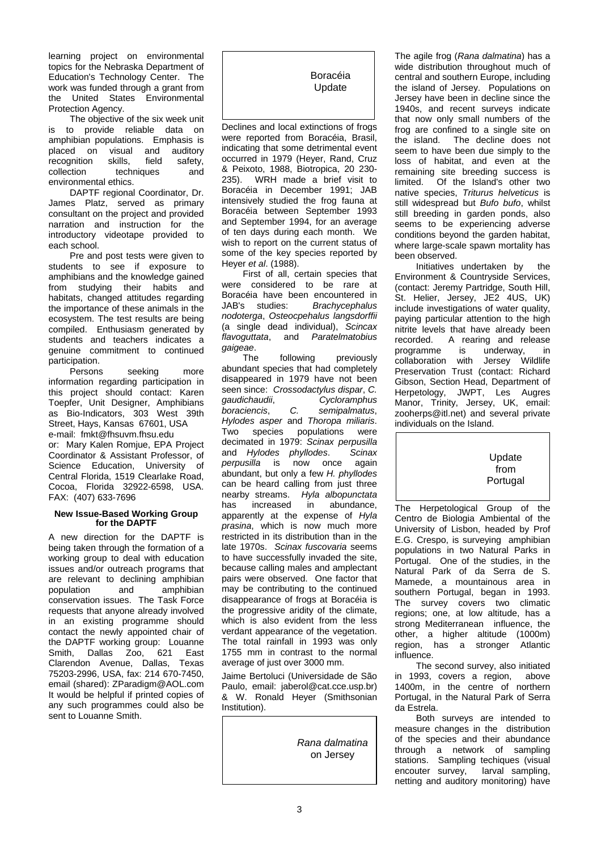learning project on environmental topics for the Nebraska Department of Education's Technology Center. The work was funded through a grant from the United States Environmental Protection Agency.

The objective of the six week unit is to provide reliable data on amphibian populations. Emphasis is<br>placed on visual and auditory placed on visual and auditory<br>recognition skills, field safety, recognition<br>collection techniques and environmental ethics.

DAPTF regional Coordinator, Dr. James Platz, served as primary consultant on the project and provided narration and instruction for the introductory videotape provided to each school.

Pre and post tests were given to students to see if exposure to amphibians and the knowledge gained from studying their habits and habitats, changed attitudes regarding the importance of these animals in the ecosystem. The test results are being compiled. Enthusiasm generated by students and teachers indicates a genuine commitment to continued participation.<br>Persons

seeking more information regarding participation in this project should contact: Karen Toepfer, Unit Designer, Amphibians as Bio-Indicators, 303 West 39th Street, Hays, Kansas 67601, USA e-mail: fmkt@fhsuvm.fhsu.edu or: Mary Kalen Romjue, EPA Project Coordinator & Assistant Professor, of Science Education, University of Central Florida, 1519 Clearlake Road, Cocoa, Florida 32922-6598, USA. FAX: (407) 633-7696

# **New Issue-Based Working Group for the DAPTF**

A new direction for the DAPTF is being taken through the formation of a working group to deal with education issues and/or outreach programs that are relevant to declining amphibian<br>population and amphibian population and amphibian conservation issues. The Task Force requests that anyone already involved in an existing programme should contact the newly appointed chair of the DAPTF working group: Louanne<br>Smith. Dallas Zoo. 621 East Dallas Clarendon Avenue, Dallas, Texas 75203-2996, USA, fax: 214 670-7450, email (shared): ZParadigm@AOL.com It would be helpful if printed copies of any such programmes could also be sent to Louanne Smith.

# Boracéia Update

Declines and local extinctions of frogs were reported from Boracéia, Brasil, indicating that some detrimental event occurred in 1979 (Heyer, Rand, Cruz & Peixoto, 1988, Biotropica, 20 230- 235). WRH made a brief visit to Boracéia in December 1991; JAB intensively studied the frog fauna at Boracéia between September 1993 and September 1994, for an average of ten days during each month. We wish to report on the current status of some of the key species reported by Heyer *et al*. (1988).

First of all, certain species that were considered to be rare at Boracéia have been encountered in<br>JAB's studies: Brachycephalus JAB's studies: *Brachycephalus nodoterga*, *Osteocpehalus langsdorffii* (a single dead individual), *Scincax <i>Paratelmatobius gaigeae*.

following previously abundant species that had completely disappeared in 1979 have not been seen since: *Crossodactylus dispar*, *C. gaudichaudii*, *Cycloramphus boraciencis*, *C. semipalmatus*, *Hylodes asper* and *Thoropa miliaris*. Two species decimated in 1979: *Scinax perpusilla* and *Hylodes phyllodes*. *perpusilla* is now once again abundant, but only a few *H. phyllodes* can be heard calling from just three<br>nearby streams. Hyla albopunctata streams. *Hyla albopunctata*<br>increased in abundance, has increased in abundance, apparently at the expense of *Hyla prasina*, which is now much more restricted in its distribution than in the late 1970s. *Scinax fuscovaria* seems to have successfully invaded the site, because calling males and amplectant pairs were observed. One factor that may be contributing to the continued disappearance of frogs at Boracéia is the progressive aridity of the climate, which is also evident from the less verdant appearance of the vegetation. The total rainfall in 1993 was only 1755 mm in contrast to the normal average of just over 3000 mm.

Jaime Bertoluci (Universidade de São Paulo, email: jaberol@cat.cce.usp.br) & W. Ronald Heyer (Smithsonian Institution).

> *Rana dalmatina*  on Jersey

The agile frog (*Rana dalmatina*) has a wide distribution throughout much of central and southern Europe, including the island of Jersey. Populations on Jersey have been in decline since the 1940s, and recent surveys indicate that now only small numbers of the frog are confined to a single site on the island. The decline does not seem to have been due simply to the loss of habitat, and even at the remaining site breeding success is<br>limited. Of the Island's other two Of the Island's other two native species, *Triturus helveticus* is still widespread but *Bufo bufo*, whilst still breeding in garden ponds, also seems to be experiencing adverse conditions beyond the garden habitat, where large-scale spawn mortality has been observed.

Initiatives undertaken by the Environment & Countryside Services, (contact: Jeremy Partridge, South Hill, St. Helier, Jersey, JE2 4US, UK) include investigations of water quality, paying particular attention to the high nitrite levels that have already been<br>recorded. A rearing and release A rearing and release programme is underway, in collaboration with Jersey Wildlife Preservation Trust (contact: Richard Gibson, Section Head, Department of Herpetology, JWPT, Les Augres Manor, Trinity, Jersey, UK, email: zooherps@itl.net) and several private individuals on the Island.



The Herpetological Group of the Centro de Biologia Ambiental of the University of Lisbon, headed by Prof E.G. Crespo, is surveying amphibian populations in two Natural Parks in Portugal. One of the studies, in the Natural Park of da Serra de S. Mamede, a mountainous area in southern Portugal, began in 1993. The survey covers two climatic regions; one, at low altitude, has a strong Mediterranean influence, the other, a higher altitude (1000m) region, has a stronger Atlantic influence.

The second survey, also initiated in 1993, covers a region, above 1400m, in the centre of northern Portugal, in the Natural Park of Serra da Estrela.

Both surveys are intended to measure changes in the distribution of the species and their abundance through a network of sampling stations. Sampling techiques (visual encouter survey, larval sampling, netting and auditory monitoring) have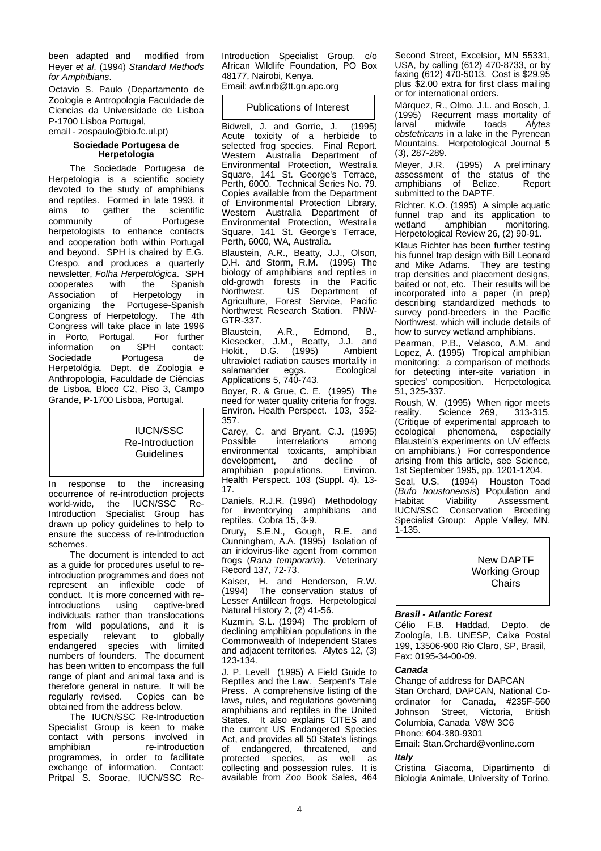been adapted and modified from Heyer *et al*. (1994) *Standard Methods for Amphibians*.

Octavio S. Paulo (Departamento de Zoologia e Antropologia Faculdade de Ciencias da Universidade de Lisboa P-1700 Lisboa Portugal,

email - zospaulo@bio.fc.ul.pt)

# **Sociedade Portugesa de Herpetologia**

The Sociedade Portugesa de Herpetologia is a scientific society devoted to the study of amphibians and reptiles. Formed in late 1993, it<br>aims to gather the scientific gather the community of Portugese herpetologists to enhance contacts and cooperation both within Portugal and beyond. SPH is chaired by E.G. Crespo, and produces a quarterly newsletter, *Folha Herpetológica*. SPH cooperates with<br>Association of Association of Herpetology in<br>organizing the Portugese-Spanish Portugese-Spanish Congress of Herpetology. The 4th Congress will take place in late 1996<br>in Porto. Portugal. For further in Porto, Portugal. For further<br>information on SPH contact: information on SPH contact:<br>Sociedade Portugesa de Portugesa Herpetológia, Dept. de Zoologia e Anthropologia, Faculdade de Ciências de Lisboa, Bloco C2, Piso 3, Campo Grande, P-1700 Lisboa, Portugal.

# IUCN/SSC Re-Introduction **Guidelines**

In response to the increasing occurrence of re-introduction projects world-wide, the IUCN/SSC Re-Introduction Specialist Group has drawn up policy guidelines to help to ensure the success of re-introduction schemes.

The document is intended to act as a guide for procedures useful to reintroduction programmes and does not represent an inflexible code of conduct. It is more concerned with re-<br>introductions using captive-bred introductions individuals rather than translocations from wild populations, and it is<br>especially relevant to globally especially relevant to globally endangered species with limited numbers of founders. The document has been written to encompass the full range of plant and animal taxa and is therefore general in nature. It will be regularly revised. Copies can be obtained from the address below.

The IUCN/SSC Re-Introduction Specialist Group is keen to make contact with persons involved in<br>amphibian re-introduction re-introduction programmes, in order to facilitate exchange of information. Contact: Pritpal S. Soorae, IUCN/SSC Re-

Introduction Specialist Group, c/o African Wildlife Foundation, PO Box 48177, Nairobi, Kenya. Email: awf.nrb@tt.gn.apc.org

# Publications of Interest

Bidwell, J. and Gorrie, J. (1995) Acute toxicity of a herbicide to selected frog species. Final Report. Western Australia Department of Environmental Protection, Westralia Square, 141 St. George's Terrace, Perth, 6000. Technical Series No. 79. Copies available from the Department of Environmental Protection Library, Western Australia Department of Environmental Protection, Westralia Square, 141 St. George's Terrace, Perth, 6000, WA, Australia.

Blaustein, A.R., Beatty, J.J., Olson, D.H. and Storm, R.M. (1995) The biology of amphibians and reptiles in old-growth forests in the Pacific Northwest. US Department of Agriculture, Forest Service, Pacific Northwest Research Station. PNW-

GTR-337.<br>Blaustein, Blaustein, A.R., Edmond, B., Kiesecker, J.M., Beatty, J.J. and Hokit., D.G. (1995) Ambient ultraviolet radiation causes mortality in<br>salamander eggs. Ecological salamander Applications 5, 740-743.

Boyer, R. & Grue, C. E. (1995) The need for water quality criteria for frogs. Environ. Health Perspect. 103, 352- 357.

Carey, C. and Bryant, C.J. (1995)<br>Possible interrelations among interrelations environmental toxicants, amphibian<br>development, and decline of development, and decline of<br>amphibian populations. Environ. amphibian populations. Health Perspect. 103 (Suppl. 4), 13- 17.

Daniels, R.J.R. (1994) Methodology inventorying amphibians and reptiles. Cobra 15, 3-9.

Drury, S.E.N., Gough, R.E. and Cunningham, A.A. (1995) Isolation of an iridovirus-like agent from common frogs (*Rana temporaria*). Veterinary Record 137, 72-73.

Kaiser, H. and Henderson, R.W.<br>(1994) The conservation status of The conservation status of Lesser Antillean frogs. Herpetological Natural History 2, (2) 41-56.

Kuzmin, S.L. (1994) The problem of declining amphibian populations in the Commonwealth of Independent States and adjacent territories. Alytes 12, (3) 123-134.

J. P. Levell (1995) A Field Guide to Reptiles and the Law. Serpent's Tale Press. A comprehensive listing of the laws, rules, and regulations governing amphibians and reptiles in the United States. It also explains CITES and the current US Endangered Species Act, and provides all 50 State's listings<br>of endangered. threatened. and endangered, threatened, and protected species, as well as collecting and possession rules. It is available from Zoo Book Sales, 464

Second Street, Excelsior, MN 55331, USA, by calling (612) 470-8733, or by faxing (612) 470-5013. Cost is \$29.95 plus \$2.00 extra for first class mailing or for international orders.

Márquez, R., Olmo, J.L. and Bosch, J. (1995) Recurrent mass mortality of<br>larval midwife toads Alytes larval midwife toads *Alytes obstetricans* in a lake in the Pyrenean Mountains. Herpetological Journal 5 (3), 287-289.

Meyer, J.R. (1995) A preliminary assessment of the status of the amphibians of Belize. Report submitted to the DAPTF.

Richter, K.O. (1995) A simple aquatic funnel trap and its application to<br>wetland amphibian monitoring. amphibian Herpetological Review 26, (2) 90-91.

Klaus Richter has been further testing his funnel trap design with Bill Leonard and Mike Adams. They are testing trap densities and placement designs, baited or not, etc. Their results will be incorporated into a paper (in prep) describing standardized methods to survey pond-breeders in the Pacific Northwest, which will include details of how to survey wetland amphibians.

Pearman, P.B., Velasco, A.M. and Lopez, A. (1995) Tropical amphibian monitoring: a comparison of methods for detecting inter-site variation in species' composition. Herpetologica 51, 325-337.

Roush, W. (1995) When rigor meets reality. Science 269, 313-315. (Critique of experimental approach to<br>ecological phenomena, especially ecological phenomena, Blaustein's experiments on UV effects on amphibians.) For correspondence arising from this article, see Science, 1st September 1995, pp. 1201-1204.

Seal, U.S. (1994) Houston Toad (*Bufo houstonensis*) Population and Habitat Viability Assessment.<br>IUCN/SSC Conservation Breeding Conservation Breeding Specialist Group: Apple Valley, MN. 1-135.

> New DAPTF Working Group **Chairs**

# *Brasil - Atlantic Forest*

Célio F.B. Haddad, Depto. de Zoología, I.B. UNESP, Caixa Postal 199, 13506-900 Rio Claro, SP, Brasil, Fax: 0195-34-00-09.

# *Canada*

Change of address for DAPCAN Stan Orchard, DAPCAN, National Coordinator for Canada, #235F-560<br>Johnson Street, Victoria, British Johnson Street, Victoria, British Columbia, Canada V8W 3C6 Phone: 604-380-9301

Email: Stan.Orchard@vonline.com *Italy*

Cristina Giacoma, Dipartimento di Biologia Animale, University of Torino,